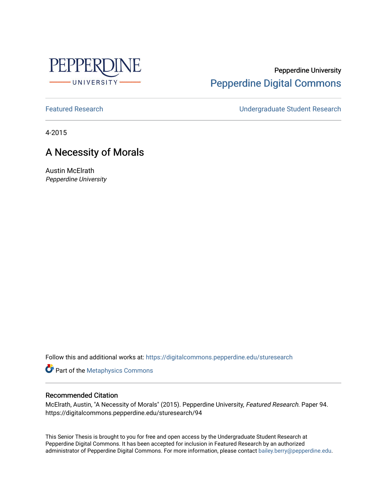

# Pepperdine University [Pepperdine Digital Commons](https://digitalcommons.pepperdine.edu/)

[Featured Research](https://digitalcommons.pepperdine.edu/sturesearch) [Undergraduate Student Research](https://digitalcommons.pepperdine.edu/usr) 

4-2015

# A Necessity of Morals

Austin McElrath Pepperdine University

Follow this and additional works at: [https://digitalcommons.pepperdine.edu/sturesearch](https://digitalcommons.pepperdine.edu/sturesearch?utm_source=digitalcommons.pepperdine.edu%2Fsturesearch%2F94&utm_medium=PDF&utm_campaign=PDFCoverPages)

**Part of the [Metaphysics Commons](http://network.bepress.com/hgg/discipline/533?utm_source=digitalcommons.pepperdine.edu%2Fsturesearch%2F94&utm_medium=PDF&utm_campaign=PDFCoverPages)** 

# Recommended Citation

McElrath, Austin, "A Necessity of Morals" (2015). Pepperdine University, Featured Research. Paper 94. https://digitalcommons.pepperdine.edu/sturesearch/94

This Senior Thesis is brought to you for free and open access by the Undergraduate Student Research at Pepperdine Digital Commons. It has been accepted for inclusion in Featured Research by an authorized administrator of Pepperdine Digital Commons. For more information, please contact [bailey.berry@pepperdine.edu](mailto:bailey.berry@pepperdine.edu).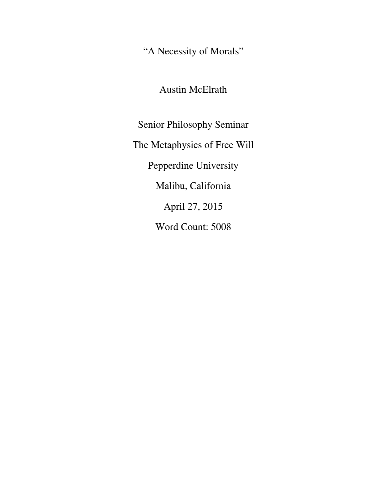"A Necessity of Morals"

Austin McElrath

Senior Philosophy Seminar The Metaphysics of Free Will Pepperdine University Malibu, California April 27, 2015 Word Count: 5008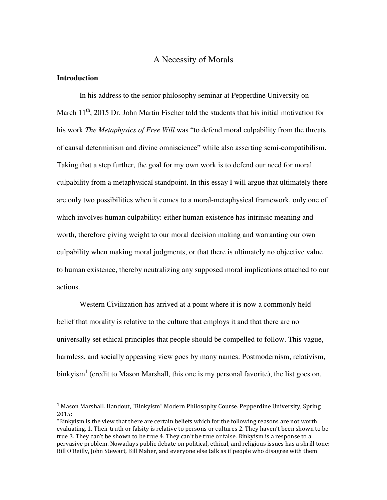# A Necessity of Morals

## **Introduction**

-

 In his address to the senior philosophy seminar at Pepperdine University on March  $11<sup>th</sup>$ , 2015 Dr. John Martin Fischer told the students that his initial motivation for his work *The Metaphysics of Free Will* was "to defend moral culpability from the threats of causal determinism and divine omniscience" while also asserting semi-compatibilism. Taking that a step further, the goal for my own work is to defend our need for moral culpability from a metaphysical standpoint. In this essay I will argue that ultimately there are only two possibilities when it comes to a moral-metaphysical framework, only one of which involves human culpability: either human existence has intrinsic meaning and worth, therefore giving weight to our moral decision making and warranting our own culpability when making moral judgments, or that there is ultimately no objective value to human existence, thereby neutralizing any supposed moral implications attached to our actions.

Western Civilization has arrived at a point where it is now a commonly held belief that morality is relative to the culture that employs it and that there are no universally set ethical principles that people should be compelled to follow. This vague, harmless, and socially appeasing view goes by many names: Postmodernism, relativism, binkyism<sup>1</sup> (credit to Mason Marshall, this one is my personal favorite), the list goes on.

<sup>&</sup>lt;sup>1</sup> Mason Marshall. Handout, "Binkyism" Modern Philosophy Course. Pepperdine University, Spring 2015:

<sup>&</sup>quot;Binkyism is the view that there are certain beliefs which for the following reasons are not worth evaluating. 1. Their truth or falsity is relative to persons or cultures 2. They haven't been shown to be true 3. They can't be shown to be true 4. They can't be true or false. Binkyism is a response to a pervasive problem. Nowadays public debate on political, ethical, and religious issues has a shrill tone: Bill O'Reilly, John Stewart, Bill Maher, and everyone else talk as if people who disagree with them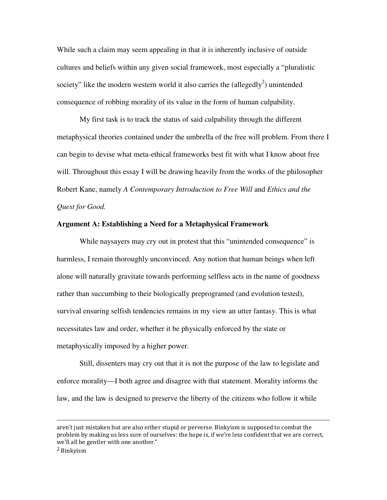While such a claim may seem appealing in that it is inherently inclusive of outside cultures and beliefs within any given social framework, most especially a "pluralistic society" like the modern western world it also carries the (allegedly<sup>2</sup>) unintended consequence of robbing morality of its value in the form of human culpability.

My first task is to track the status of said culpability through the different metaphysical theories contained under the umbrella of the free will problem. From there I can begin to devise what meta-ethical frameworks best fit with what I know about free will. Throughout this essay I will be drawing heavily from the works of the philosopher Robert Kane, namely *A Contemporary Introduction to Free Will* and *Ethics and the Quest for Good.* 

### **Argument A: Establishing a Need for a Metaphysical Framework**

While naysayers may cry out in protest that this "unintended consequence" is harmless, I remain thoroughly unconvinced. Any notion that human beings when left alone will naturally gravitate towards performing selfless acts in the name of goodness rather than succumbing to their biologically preprogramed (and evolution tested), survival ensuring selfish tendencies remains in my view an utter fantasy. This is what necessitates law and order, whether it be physically enforced by the state or metaphysically imposed by a higher power.

Still, dissenters may cry out that it is not the purpose of the law to legislate and enforce morality—I both agree and disagree with that statement. Morality informs the law, and the law is designed to preserve the liberty of the citizens who follow it while

<u>.</u>

aren't just mistaken but are also either stupid or perverse. Binkyism is supposed to combat the problem by making us less sure of ourselves: the hope is, if we're less confident that we are correct, we'll all be gentler with one another."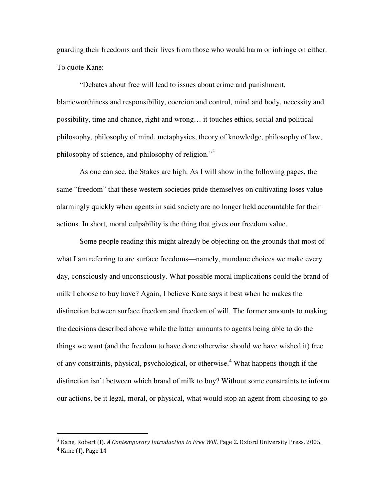guarding their freedoms and their lives from those who would harm or infringe on either. To quote Kane:

"Debates about free will lead to issues about crime and punishment, blameworthiness and responsibility, coercion and control, mind and body, necessity and possibility, time and chance, right and wrong… it touches ethics, social and political philosophy, philosophy of mind, metaphysics, theory of knowledge, philosophy of law, philosophy of science, and philosophy of religion."<sup>3</sup>

 As one can see, the Stakes are high. As I will show in the following pages, the same "freedom" that these western societies pride themselves on cultivating loses value alarmingly quickly when agents in said society are no longer held accountable for their actions. In short, moral culpability is the thing that gives our freedom value.

Some people reading this might already be objecting on the grounds that most of what I am referring to are surface freedoms—namely, mundane choices we make every day, consciously and unconsciously. What possible moral implications could the brand of milk I choose to buy have? Again, I believe Kane says it best when he makes the distinction between surface freedom and freedom of will. The former amounts to making the decisions described above while the latter amounts to agents being able to do the things we want (and the freedom to have done otherwise should we have wished it) free of any constraints, physical, psychological, or otherwise.<sup>4</sup> What happens though if the distinction isn't between which brand of milk to buy? Without some constraints to inform our actions, be it legal, moral, or physical, what would stop an agent from choosing to go

<sup>3</sup> Kane, Robert (I). A Contemporary Introduction to Free Will. Page 2. Oxford University Press. 2005. <sup>4</sup> Kane (I), Page 14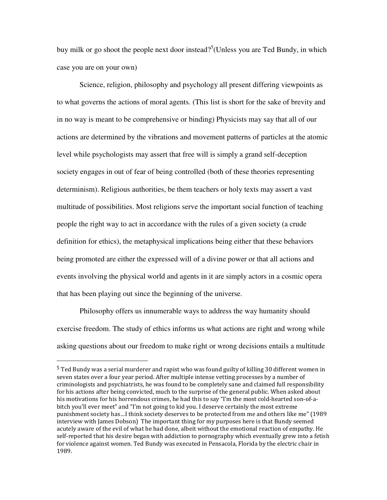buy milk or go shoot the people next door instead?<sup>5</sup>(Unless you are Ted Bundy, in which case you are on your own)

Science, religion, philosophy and psychology all present differing viewpoints as to what governs the actions of moral agents. (This list is short for the sake of brevity and in no way is meant to be comprehensive or binding) Physicists may say that all of our actions are determined by the vibrations and movement patterns of particles at the atomic level while psychologists may assert that free will is simply a grand self-deception society engages in out of fear of being controlled (both of these theories representing determinism). Religious authorities, be them teachers or holy texts may assert a vast multitude of possibilities. Most religions serve the important social function of teaching people the right way to act in accordance with the rules of a given society (a crude definition for ethics), the metaphysical implications being either that these behaviors being promoted are either the expressed will of a divine power or that all actions and events involving the physical world and agents in it are simply actors in a cosmic opera that has been playing out since the beginning of the universe.

Philosophy offers us innumerable ways to address the way humanity should exercise freedom. The study of ethics informs us what actions are right and wrong while asking questions about our freedom to make right or wrong decisions entails a multitude

 $5$  Ted Bundy was a serial murderer and rapist who was found guilty of killing 30 different women in seven states over a four year period. After multiple intense vetting processes by a number of criminologists and psychiatrists, he was found to be completely sane and claimed full responsibility for his actions after being convicted, much to the surprise of the general public. When asked about his motivations for his horrendous crimes, he had this to say "I'm the most cold-hearted son-of-abitch you'll ever meet" and "I'm not going to kid you. I deserve certainly the most extreme punishment society has…I think society deserves to be protected from me and others like me" (1989 interview with James Dobson) The important thing for my purposes here is that Bundy seemed acutely aware of the evil of what he had done, albeit without the emotional reaction of empathy. He self-reported that his desire began with addiction to pornography which eventually grew into a fetish for violence against women. Ted Bundy was executed in Pensacola, Florida by the electric chair in 1989.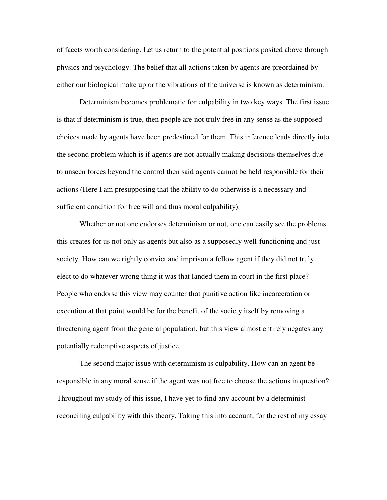of facets worth considering. Let us return to the potential positions posited above through physics and psychology. The belief that all actions taken by agents are preordained by either our biological make up or the vibrations of the universe is known as determinism.

Determinism becomes problematic for culpability in two key ways. The first issue is that if determinism is true, then people are not truly free in any sense as the supposed choices made by agents have been predestined for them. This inference leads directly into the second problem which is if agents are not actually making decisions themselves due to unseen forces beyond the control then said agents cannot be held responsible for their actions (Here I am presupposing that the ability to do otherwise is a necessary and sufficient condition for free will and thus moral culpability).

Whether or not one endorses determinism or not, one can easily see the problems this creates for us not only as agents but also as a supposedly well-functioning and just society. How can we rightly convict and imprison a fellow agent if they did not truly elect to do whatever wrong thing it was that landed them in court in the first place? People who endorse this view may counter that punitive action like incarceration or execution at that point would be for the benefit of the society itself by removing a threatening agent from the general population, but this view almost entirely negates any potentially redemptive aspects of justice.

The second major issue with determinism is culpability. How can an agent be responsible in any moral sense if the agent was not free to choose the actions in question? Throughout my study of this issue, I have yet to find any account by a determinist reconciling culpability with this theory. Taking this into account, for the rest of my essay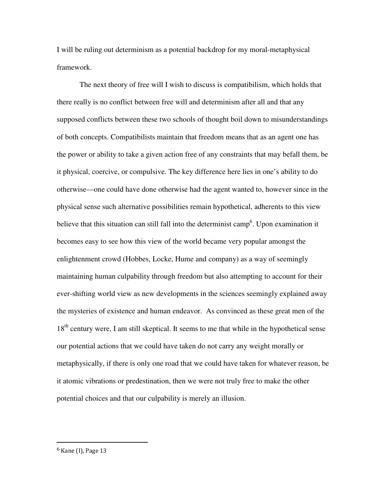I will be ruling out determinism as a potential backdrop for my moral-metaphysical framework.

The next theory of free will I wish to discuss is compatibilism, which holds that there really is no conflict between free will and determinism after all and that any supposed conflicts between these two schools of thought boil down to misunderstandings of both concepts. Compatibilists maintain that freedom means that as an agent one has the power or ability to take a given action free of any constraints that may befall them, be it physical, coercive, or compulsive. The key difference here lies in one's ability to do otherwise—one could have done otherwise had the agent wanted to, however since in the physical sense such alternative possibilities remain hypothetical, adherents to this view believe that this situation can still fall into the determinist camp<sup>6</sup>. Upon examination it becomes easy to see how this view of the world became very popular amongst the enlightenment crowd (Hobbes, Locke, Hume and company) as a way of seemingly maintaining human culpability through freedom but also attempting to account for their ever-shifting world view as new developments in the sciences seemingly explained away the mysteries of existence and human endeavor. As convinced as these great men of the 18<sup>th</sup> century were, I am still skeptical. It seems to me that while in the hypothetical sense our potential actions that we could have taken do not carry any weight morally or metaphysically, if there is only one road that we could have taken for whatever reason, be it atomic vibrations or predestination, then we were not truly free to make the other potential choices and that our culpability is merely an illusion.

<sup>6</sup> Kane (I), Page 13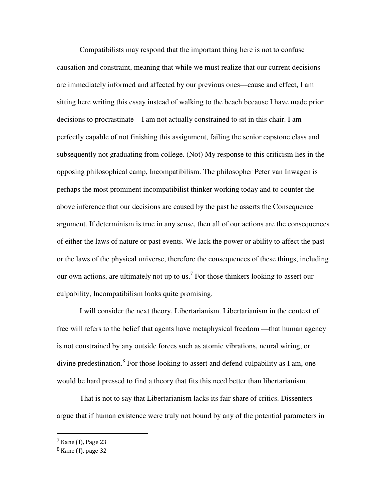Compatibilists may respond that the important thing here is not to confuse causation and constraint, meaning that while we must realize that our current decisions are immediately informed and affected by our previous ones—cause and effect, I am sitting here writing this essay instead of walking to the beach because I have made prior decisions to procrastinate—I am not actually constrained to sit in this chair. I am perfectly capable of not finishing this assignment, failing the senior capstone class and subsequently not graduating from college. (Not) My response to this criticism lies in the opposing philosophical camp, Incompatibilism. The philosopher Peter van Inwagen is perhaps the most prominent incompatibilist thinker working today and to counter the above inference that our decisions are caused by the past he asserts the Consequence argument. If determinism is true in any sense, then all of our actions are the consequences of either the laws of nature or past events. We lack the power or ability to affect the past or the laws of the physical universe, therefore the consequences of these things, including our own actions, are ultimately not up to us.<sup>7</sup> For those thinkers looking to assert our culpability, Incompatibilism looks quite promising.

I will consider the next theory, Libertarianism. Libertarianism in the context of free will refers to the belief that agents have metaphysical freedom —that human agency is not constrained by any outside forces such as atomic vibrations, neural wiring, or divine predestination.<sup>8</sup> For those looking to assert and defend culpability as I am, one would be hard pressed to find a theory that fits this need better than libertarianism.

That is not to say that Libertarianism lacks its fair share of critics. Dissenters argue that if human existence were truly not bound by any of the potential parameters in

<sup>7</sup> Kane (I), Page 23

<sup>8</sup> Kane (I), page 32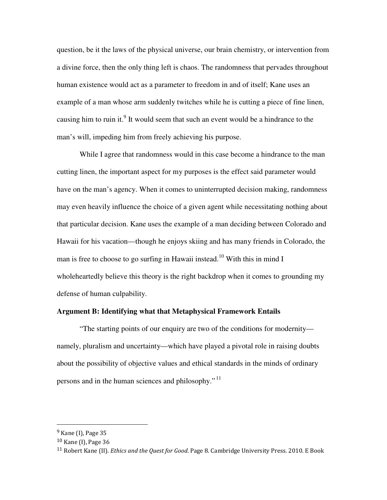question, be it the laws of the physical universe, our brain chemistry, or intervention from a divine force, then the only thing left is chaos. The randomness that pervades throughout human existence would act as a parameter to freedom in and of itself; Kane uses an example of a man whose arm suddenly twitches while he is cutting a piece of fine linen, causing him to ruin it.<sup>9</sup> It would seem that such an event would be a hindrance to the man's will, impeding him from freely achieving his purpose.

While I agree that randomness would in this case become a hindrance to the man cutting linen, the important aspect for my purposes is the effect said parameter would have on the man's agency. When it comes to uninterrupted decision making, randomness may even heavily influence the choice of a given agent while necessitating nothing about that particular decision. Kane uses the example of a man deciding between Colorado and Hawaii for his vacation—though he enjoys skiing and has many friends in Colorado, the man is free to choose to go surfing in Hawaii instead.<sup>10</sup> With this in mind I wholeheartedly believe this theory is the right backdrop when it comes to grounding my defense of human culpability.

# **Argument B: Identifying what that Metaphysical Framework Entails**

 "The starting points of our enquiry are two of the conditions for modernity namely, pluralism and uncertainty—which have played a pivotal role in raising doubts about the possibility of objective values and ethical standards in the minds of ordinary persons and in the human sciences and philosophy." <sup>11</sup>

<sup>&</sup>lt;sup>9</sup> Kane (I), Page 35

<sup>10</sup> Kane (I), Page 36

<sup>&</sup>lt;sup>11</sup> Robert Kane (II). *Ethics and the Quest for Good*. Page 8. Cambridge University Press. 2010. E Book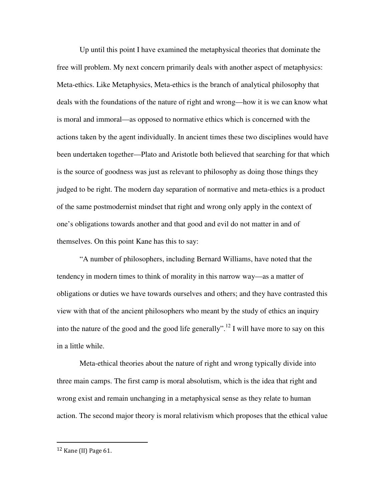Up until this point I have examined the metaphysical theories that dominate the free will problem. My next concern primarily deals with another aspect of metaphysics: Meta-ethics. Like Metaphysics, Meta-ethics is the branch of analytical philosophy that deals with the foundations of the nature of right and wrong—how it is we can know what is moral and immoral—as opposed to normative ethics which is concerned with the actions taken by the agent individually. In ancient times these two disciplines would have been undertaken together—Plato and Aristotle both believed that searching for that which is the source of goodness was just as relevant to philosophy as doing those things they judged to be right. The modern day separation of normative and meta-ethics is a product of the same postmodernist mindset that right and wrong only apply in the context of one's obligations towards another and that good and evil do not matter in and of themselves. On this point Kane has this to say:

"A number of philosophers, including Bernard Williams, have noted that the tendency in modern times to think of morality in this narrow way—as a matter of obligations or duties we have towards ourselves and others; and they have contrasted this view with that of the ancient philosophers who meant by the study of ethics an inquiry into the nature of the good and the good life generally".<sup>12</sup> I will have more to say on this in a little while.

Meta-ethical theories about the nature of right and wrong typically divide into three main camps. The first camp is moral absolutism, which is the idea that right and wrong exist and remain unchanging in a metaphysical sense as they relate to human action. The second major theory is moral relativism which proposes that the ethical value

<sup>12</sup> Kane (II) Page 61.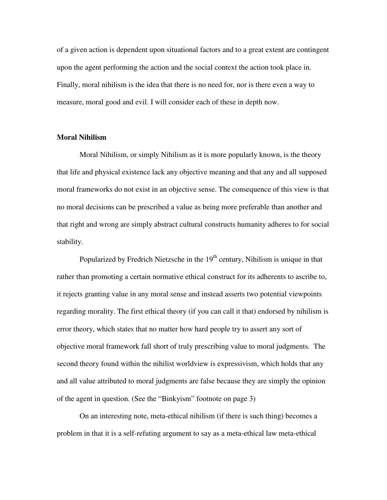of a given action is dependent upon situational factors and to a great extent are contingent upon the agent performing the action and the social context the action took place in. Finally, moral nihilism is the idea that there is no need for, nor is there even a way to measure, moral good and evil. I will consider each of these in depth now.

#### **Moral Nihilism**

Moral Nihilism, or simply Nihilism as it is more popularly known, is the theory that life and physical existence lack any objective meaning and that any and all supposed moral frameworks do not exist in an objective sense. The consequence of this view is that no moral decisions can be prescribed a value as being more preferable than another and that right and wrong are simply abstract cultural constructs humanity adheres to for social stability.

Popularized by Fredrich Nietzsche in the  $19<sup>th</sup>$  century, Nihilism is unique in that rather than promoting a certain normative ethical construct for its adherents to ascribe to, it rejects granting value in any moral sense and instead asserts two potential viewpoints regarding morality. The first ethical theory (if you can call it that) endorsed by nihilism is error theory, which states that no matter how hard people try to assert any sort of objective moral framework fall short of truly prescribing value to moral judgments. The second theory found within the nihilist worldview is expressivism, which holds that any and all value attributed to moral judgments are false because they are simply the opinion of the agent in question. (See the "Binkyism" footnote on page 3)

On an interesting note, meta-ethical nihilism (if there is such thing) becomes a problem in that it is a self-refuting argument to say as a meta-ethical law meta-ethical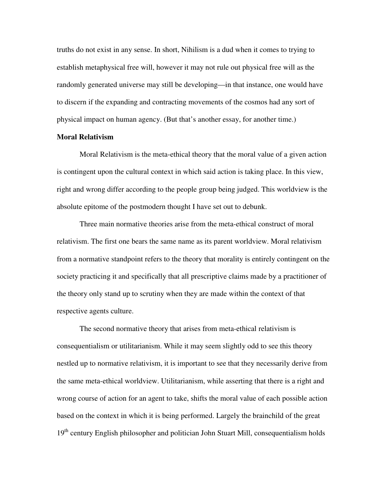truths do not exist in any sense. In short, Nihilism is a dud when it comes to trying to establish metaphysical free will, however it may not rule out physical free will as the randomly generated universe may still be developing—in that instance, one would have to discern if the expanding and contracting movements of the cosmos had any sort of physical impact on human agency. (But that's another essay, for another time.)

## **Moral Relativism**

 Moral Relativism is the meta-ethical theory that the moral value of a given action is contingent upon the cultural context in which said action is taking place. In this view, right and wrong differ according to the people group being judged. This worldview is the absolute epitome of the postmodern thought I have set out to debunk.

 Three main normative theories arise from the meta-ethical construct of moral relativism. The first one bears the same name as its parent worldview. Moral relativism from a normative standpoint refers to the theory that morality is entirely contingent on the society practicing it and specifically that all prescriptive claims made by a practitioner of the theory only stand up to scrutiny when they are made within the context of that respective agents culture.

 The second normative theory that arises from meta-ethical relativism is consequentialism or utilitarianism. While it may seem slightly odd to see this theory nestled up to normative relativism, it is important to see that they necessarily derive from the same meta-ethical worldview. Utilitarianism, while asserting that there is a right and wrong course of action for an agent to take, shifts the moral value of each possible action based on the context in which it is being performed. Largely the brainchild of the great  $19<sup>th</sup>$  century English philosopher and politician John Stuart Mill, consequentialism holds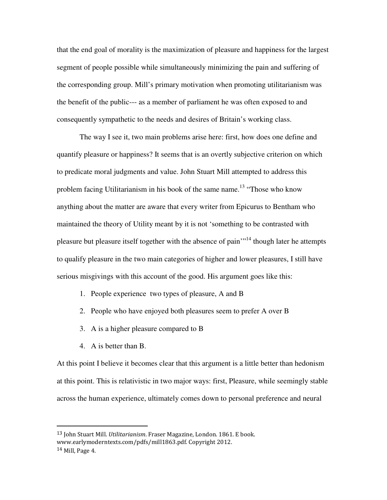that the end goal of morality is the maximization of pleasure and happiness for the largest segment of people possible while simultaneously minimizing the pain and suffering of the corresponding group. Mill's primary motivation when promoting utilitarianism was the benefit of the public--- as a member of parliament he was often exposed to and consequently sympathetic to the needs and desires of Britain's working class.

The way I see it, two main problems arise here: first, how does one define and quantify pleasure or happiness? It seems that is an overtly subjective criterion on which to predicate moral judgments and value. John Stuart Mill attempted to address this problem facing Utilitarianism in his book of the same name.<sup>13</sup> "Those who know anything about the matter are aware that every writer from Epicurus to Bentham who maintained the theory of Utility meant by it is not 'something to be contrasted with pleasure but pleasure itself together with the absence of pain"<sup>14</sup> though later he attempts to qualify pleasure in the two main categories of higher and lower pleasures, I still have serious misgivings with this account of the good. His argument goes like this:

- 1. People experience two types of pleasure, A and B
- 2. People who have enjoyed both pleasures seem to prefer A over B
- 3. A is a higher pleasure compared to B
- 4. A is better than B.

 $\overline{a}$ 

At this point I believe it becomes clear that this argument is a little better than hedonism at this point. This is relativistic in two major ways: first, Pleasure, while seemingly stable across the human experience, ultimately comes down to personal preference and neural

<sup>&</sup>lt;sup>13</sup> John Stuart Mill. Utilitarianism. Fraser Magazine, London. 1861. E book. www.earlymoderntexts.com/pdfs/mill1863.pdf. Copyright 2012. <sup>14</sup> Mill, Page 4.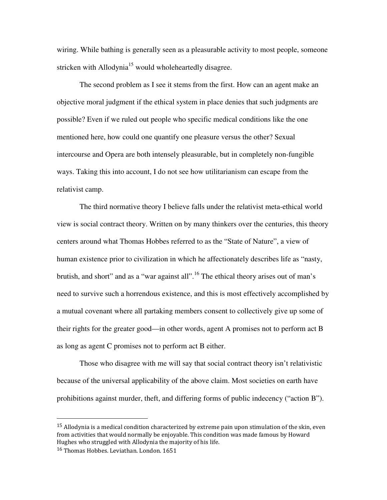wiring. While bathing is generally seen as a pleasurable activity to most people, someone stricken with Allodynia<sup>15</sup> would wholeheartedly disagree.

The second problem as I see it stems from the first. How can an agent make an objective moral judgment if the ethical system in place denies that such judgments are possible? Even if we ruled out people who specific medical conditions like the one mentioned here, how could one quantify one pleasure versus the other? Sexual intercourse and Opera are both intensely pleasurable, but in completely non-fungible ways. Taking this into account, I do not see how utilitarianism can escape from the relativist camp.

 The third normative theory I believe falls under the relativist meta-ethical world view is social contract theory. Written on by many thinkers over the centuries, this theory centers around what Thomas Hobbes referred to as the "State of Nature", a view of human existence prior to civilization in which he affectionately describes life as "nasty, brutish, and short" and as a "war against all".<sup>16</sup> The ethical theory arises out of man's need to survive such a horrendous existence, and this is most effectively accomplished by a mutual covenant where all partaking members consent to collectively give up some of their rights for the greater good—in other words, agent A promises not to perform act B as long as agent C promises not to perform act B either.

 Those who disagree with me will say that social contract theory isn't relativistic because of the universal applicability of the above claim. Most societies on earth have prohibitions against murder, theft, and differing forms of public indecency ("action B").

 $15$  Allodynia is a medical condition characterized by extreme pain upon stimulation of the skin, even from activities that would normally be enjoyable. This condition was made famous by Howard Hughes who struggled with Allodynia the majority of his life.

<sup>16</sup> Thomas Hobbes. Leviathan. London. 1651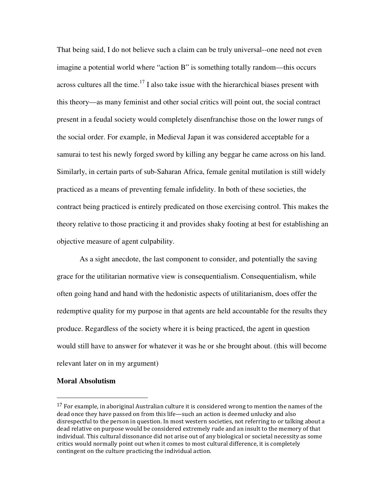That being said, I do not believe such a claim can be truly universal--one need not even imagine a potential world where "action B" is something totally random—this occurs across cultures all the time.<sup>17</sup> I also take issue with the hierarchical biases present with this theory—as many feminist and other social critics will point out, the social contract present in a feudal society would completely disenfranchise those on the lower rungs of the social order. For example, in Medieval Japan it was considered acceptable for a samurai to test his newly forged sword by killing any beggar he came across on his land. Similarly, in certain parts of sub-Saharan Africa, female genital mutilation is still widely practiced as a means of preventing female infidelity. In both of these societies, the contract being practiced is entirely predicated on those exercising control. This makes the theory relative to those practicing it and provides shaky footing at best for establishing an objective measure of agent culpability.

 As a sight anecdote, the last component to consider, and potentially the saving grace for the utilitarian normative view is consequentialism. Consequentialism, while often going hand and hand with the hedonistic aspects of utilitarianism, does offer the redemptive quality for my purpose in that agents are held accountable for the results they produce. Regardless of the society where it is being practiced, the agent in question would still have to answer for whatever it was he or she brought about. (this will become relevant later on in my argument)

#### **Moral Absolutism**

 $17$  For example, in aboriginal Australian culture it is considered wrong to mention the names of the dead once they have passed on from this life—such an action is deemed unlucky and also disrespectful to the person in question. In most western societies, not referring to or talking about a dead relative on purpose would be considered extremely rude and an insult to the memory of that individual. This cultural dissonance did not arise out of any biological or societal necessity as some critics would normally point out when it comes to most cultural difference, it is completely contingent on the culture practicing the individual action.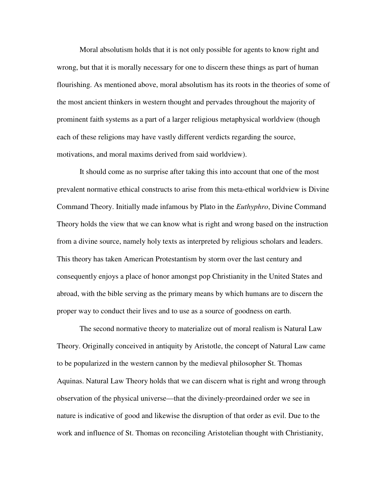Moral absolutism holds that it is not only possible for agents to know right and wrong, but that it is morally necessary for one to discern these things as part of human flourishing. As mentioned above, moral absolutism has its roots in the theories of some of the most ancient thinkers in western thought and pervades throughout the majority of prominent faith systems as a part of a larger religious metaphysical worldview (though each of these religions may have vastly different verdicts regarding the source, motivations, and moral maxims derived from said worldview).

It should come as no surprise after taking this into account that one of the most prevalent normative ethical constructs to arise from this meta-ethical worldview is Divine Command Theory. Initially made infamous by Plato in the *Euthyphro*, Divine Command Theory holds the view that we can know what is right and wrong based on the instruction from a divine source, namely holy texts as interpreted by religious scholars and leaders. This theory has taken American Protestantism by storm over the last century and consequently enjoys a place of honor amongst pop Christianity in the United States and abroad, with the bible serving as the primary means by which humans are to discern the proper way to conduct their lives and to use as a source of goodness on earth.

The second normative theory to materialize out of moral realism is Natural Law Theory. Originally conceived in antiquity by Aristotle, the concept of Natural Law came to be popularized in the western cannon by the medieval philosopher St. Thomas Aquinas. Natural Law Theory holds that we can discern what is right and wrong through observation of the physical universe—that the divinely-preordained order we see in nature is indicative of good and likewise the disruption of that order as evil. Due to the work and influence of St. Thomas on reconciling Aristotelian thought with Christianity,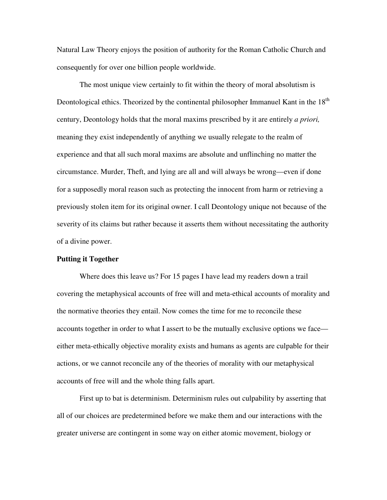Natural Law Theory enjoys the position of authority for the Roman Catholic Church and consequently for over one billion people worldwide.

The most unique view certainly to fit within the theory of moral absolutism is Deontological ethics. Theorized by the continental philosopher Immanuel Kant in the 18<sup>th</sup> century, Deontology holds that the moral maxims prescribed by it are entirely *a priori,* meaning they exist independently of anything we usually relegate to the realm of experience and that all such moral maxims are absolute and unflinching no matter the circumstance. Murder, Theft, and lying are all and will always be wrong—even if done for a supposedly moral reason such as protecting the innocent from harm or retrieving a previously stolen item for its original owner. I call Deontology unique not because of the severity of its claims but rather because it asserts them without necessitating the authority of a divine power.

## **Putting it Together**

Where does this leave us? For 15 pages I have lead my readers down a trail covering the metaphysical accounts of free will and meta-ethical accounts of morality and the normative theories they entail. Now comes the time for me to reconcile these accounts together in order to what I assert to be the mutually exclusive options we face either meta-ethically objective morality exists and humans as agents are culpable for their actions, or we cannot reconcile any of the theories of morality with our metaphysical accounts of free will and the whole thing falls apart.

 First up to bat is determinism. Determinism rules out culpability by asserting that all of our choices are predetermined before we make them and our interactions with the greater universe are contingent in some way on either atomic movement, biology or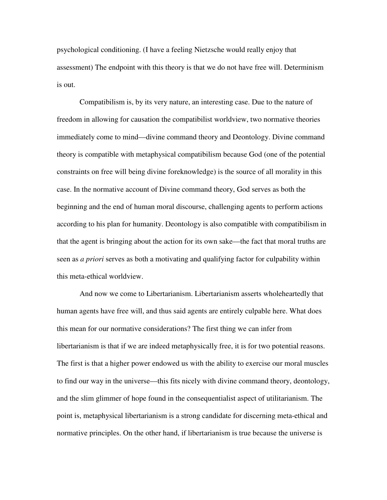psychological conditioning. (I have a feeling Nietzsche would really enjoy that assessment) The endpoint with this theory is that we do not have free will. Determinism is out.

 Compatibilism is, by its very nature, an interesting case. Due to the nature of freedom in allowing for causation the compatibilist worldview, two normative theories immediately come to mind—divine command theory and Deontology. Divine command theory is compatible with metaphysical compatibilism because God (one of the potential constraints on free will being divine foreknowledge) is the source of all morality in this case. In the normative account of Divine command theory, God serves as both the beginning and the end of human moral discourse, challenging agents to perform actions according to his plan for humanity. Deontology is also compatible with compatibilism in that the agent is bringing about the action for its own sake—the fact that moral truths are seen as *a priori* serves as both a motivating and qualifying factor for culpability within this meta-ethical worldview.

 And now we come to Libertarianism. Libertarianism asserts wholeheartedly that human agents have free will, and thus said agents are entirely culpable here. What does this mean for our normative considerations? The first thing we can infer from libertarianism is that if we are indeed metaphysically free, it is for two potential reasons. The first is that a higher power endowed us with the ability to exercise our moral muscles to find our way in the universe—this fits nicely with divine command theory, deontology, and the slim glimmer of hope found in the consequentialist aspect of utilitarianism. The point is, metaphysical libertarianism is a strong candidate for discerning meta-ethical and normative principles. On the other hand, if libertarianism is true because the universe is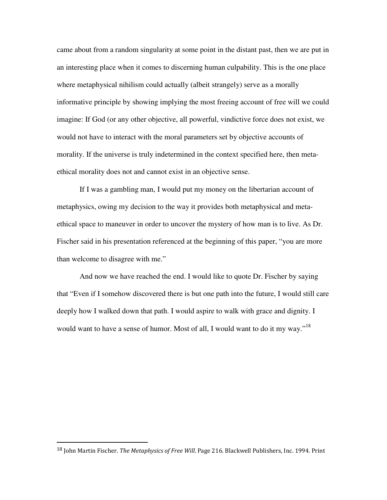came about from a random singularity at some point in the distant past, then we are put in an interesting place when it comes to discerning human culpability. This is the one place where metaphysical nihilism could actually (albeit strangely) serve as a morally informative principle by showing implying the most freeing account of free will we could imagine: If God (or any other objective, all powerful, vindictive force does not exist, we would not have to interact with the moral parameters set by objective accounts of morality. If the universe is truly indetermined in the context specified here, then metaethical morality does not and cannot exist in an objective sense.

If I was a gambling man, I would put my money on the libertarian account of metaphysics, owing my decision to the way it provides both metaphysical and metaethical space to maneuver in order to uncover the mystery of how man is to live. As Dr. Fischer said in his presentation referenced at the beginning of this paper, "you are more than welcome to disagree with me."

And now we have reached the end. I would like to quote Dr. Fischer by saying that "Even if I somehow discovered there is but one path into the future, I would still care deeply how I walked down that path. I would aspire to walk with grace and dignity. I would want to have a sense of humor. Most of all, I would want to do it my way."<sup>18</sup>

<sup>&</sup>lt;sup>18</sup> John Martin Fischer. *The Metaphysics of Free Will*. Page 216. Blackwell Publishers, Inc. 1994. Print